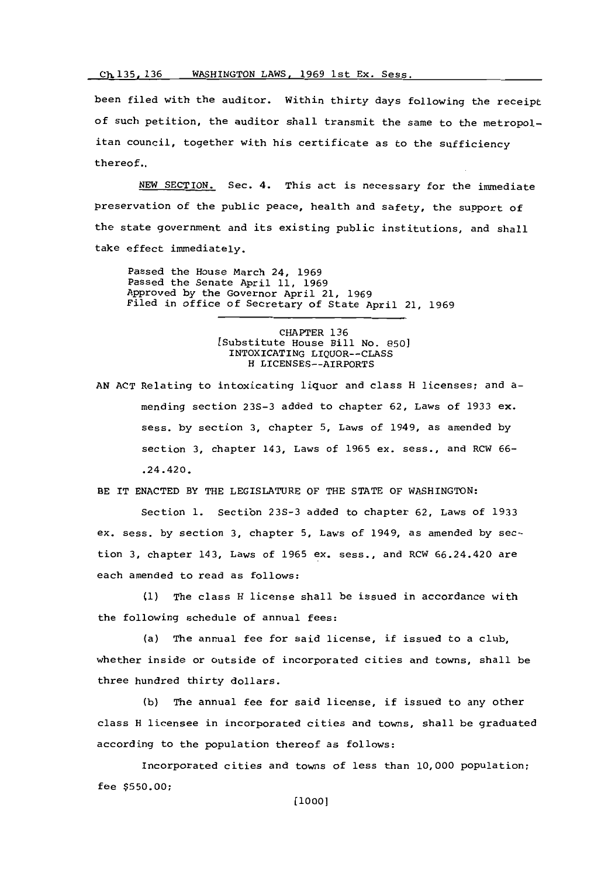## Ch 135, 136 WASHINGTON LAWS, 1969 1st Ex. Sess.

been filed with the auditor. Within thirty days following the receipt of such petition, the auditor shall transmit the sane to the metropolitan council, together with his certificate as to the sufficiency thereof..

**NEW** SECTION. Sec. 4. This act is necessary for the immediate preservation of the public peace, health and safety, the support of the state government and its existing public institutions, and shall take effect immediately.

Passed the House March 24, **1969** Passed the Senate April **11, 1969** Approved **by** the Governor April 21, **1969** Filed in office of Secretary of State April 21, **1969**

> CHAPTER **136** [Substitute House Bill No. **850]** INTOXICATING LIQUOR--CLASS H LICENSES--AIRPORTS

**AN ACT** Relating to intoxicating liquor and class H licenses; and amending section **23S-3** added to chapter **62,** Laws of **1933 ex.** sess. **by** section **3,** chapter **5,** Laws of 1949, as amended **by** section **3,** chapter 143, Laws of **1965** ex. sess., and RCW **66-** .24.420.

BE IT **ENACTED** BY THE LEGISLATURE OF THE **STATE** OF WASHINGTON:

Section **1.** Sectibn **23S-3** added to chapter **62,** Laws of **1933** ex. sess. **by** section **3,** chapter **5,** Laws of 1949, as amended **by** section **3,** chapter 143, Laws of **1965** ex. sess., and RCW 66.24.420 are each amended to read as follows:

**(1)** The class H license shall be issued in accordance with the following schedule of annual fees:

(a) The annual fee for said license, if issued to a club, whether inside or outside of incorporated cities and towns, shall be three hundred thirty dollars.

**(b)** The annual fee for said license, if issued to any other class H licensee in incorporated cities and towns, shall be graduated according to the population thereof as follows:

Incorporated cities and towns of less than **10,000** population; fee **\$550.00;**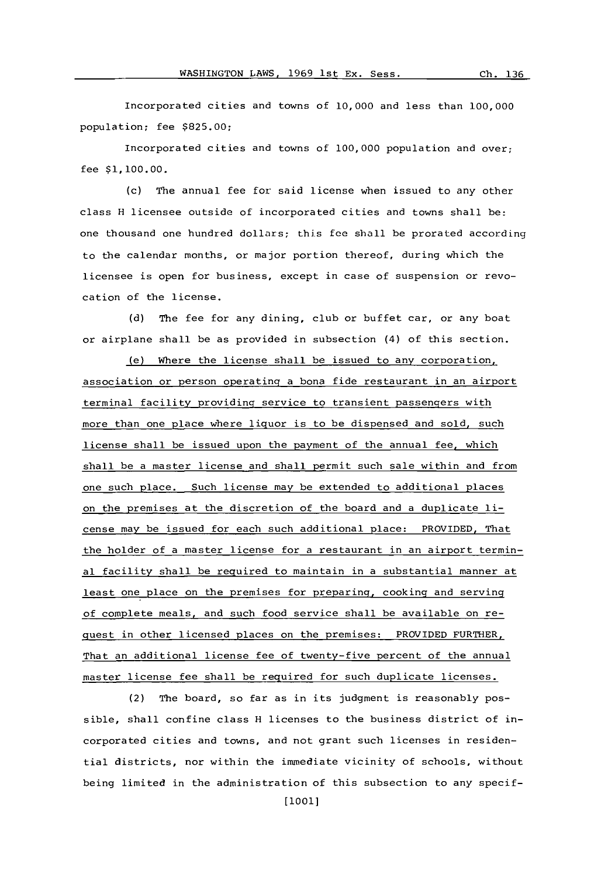Incorporated cities and towns of **10,000** and less than **100,000** population; fee **\$825.00;**

Incorporated cities and towns of **100,000** population and over, fee **\$1,100.00.**

**(c)** The annual fee for said license when issued to any other class H licensee outside of incorporated cities and towns shall be: one thousand one hundred dollars; this fee shall be prorated according to the calendar months, or major portion thereof, during which the licensee is open for business, except in case of suspension or revocation of the license.

**(d)** The fee for any dining, club or buffet car, or any boat or airplane shall be as provided in subsection (4) of this section.

(e) Where the license shall be issued to any corporation, association or person operating a bona fide restaurant in an airport terminal facility providing service to transient passengers with more than one place where liquor is to be dispensed and sold, such license shall be issued upon the payment of the annual fee, which shall be a master license and shall permit such sale within and from one such place. Such license may be extended to additional places on the premises at the discretion of the board and a duplicate license may be issued for each such additional place: PROVIDED, That the holder of a master license for a restaurant in an airport terminal facility shall be required to maintain in a substantial manner at least one place on the premises for preparing, cooking and serving of complete meals, and such food service shall be available on request in other licensed places on the premises: PROVIDED FURTHER, That an additional license fee of twenty-five percent of the annual master license fee shall be required for such duplicate licenses.

(2) The board, so far as in its judgment is reasonably possible, shall confine class H licenses to the business district of incorporated cities and towns, and not grant such licenses in residential districts, nor within the immediate vicinity of schools, without being limited in the administration of this subsection to any specif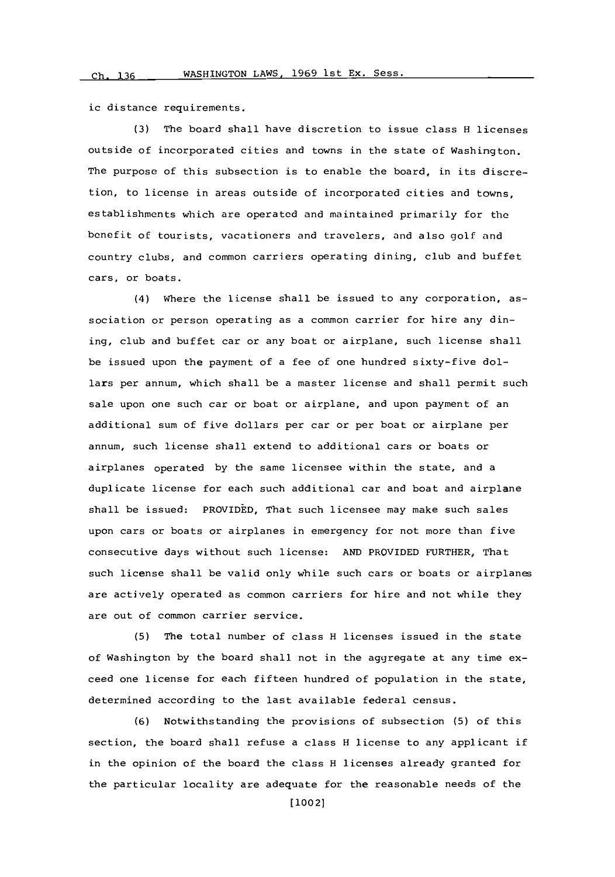ic distance requirements.

**(3)** The board shall have discretion to issue class H licenses outside of incorporated cities and towns in the state of Washington. The purpose of this subsection is to enable the board, in its discretion, to license in areas outside of incorporated cities and towns, establishments which are operated and maintained primarily for the benefit of tourists, vacationers and travelers, and also golf and country clubs, and common carriers operating dining, club and buffet cars, or boats.

(4) Where the license shall be issued to any corporation, association or person operating as a common carrier for hire any dining, club and buffet car or any boat or airplane, such license shall be issued upon the payment of a fee of one hundred sixty-five dollars per annum, which shall be a master license and shall permit such sale upon one such car or boat or airplane, and upon payment of an additional sum of five dollars per car or per boat or airplane per annum, such license shall extend to additional cars or boats or airplanes operated **by** the same licensee within the state, and a duplicate license for each such additional car and boat and airplane shall be issued: PROVIDED, That such licensee may make such sales upon cars or boats or airplanes in emergency for not more than five consecutive days without such license: **AND** PROVIDED FURTHER, That such license shall be valid only while such cars or boats or airplanes are actively operated as common carriers for hire and not while they are out of common carrier service.

**(5)** The total number of class H licenses issued in the state of Washington **by** the board shall not in the aggregate at any time exceed one license for each fifteen hundred of population in the state, determined according to the last available federal census.

**(6)** Notwithstanding the provisions of subsection **(5)** of this section, the board shall refuse a class H license to any applicant if in the opinion of the board the class H licenses already granted for the particular locality are adequate for the reasonable needs of the

[10021